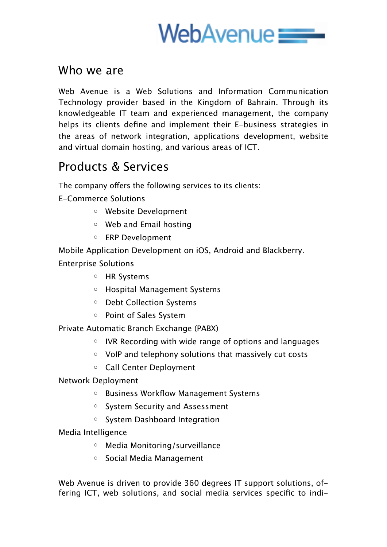

## Who we are

Web Avenue is a Web Solutions and Information Communication Technology provider based in the Kingdom of Bahrain. Through its knowledgeable IT team and experienced management, the company helps its clients define and implement their E-business strategies in the areas of network integration, applications development, website and virtual domain hosting, and various areas of ICT.

## Products & Services

The company offers the following services to its clients:

E-Commerce Solutions

- o Website Development
- o Web and Email hosting
- o ERP Development

Mobile Application Development on iOS, Android and Blackberry. Enterprise Solutions

- o HR Systems
- o Hospital Management Systems
- o Debt Collection Systems
- o Point of Sales System

Private Automatic Branch Exchange (PABX)

- o IVR Recording with wide range of options and languages
- o VoIP and telephony solutions that massively cut costs
- o Call Center Deployment
- Network Deployment
	- o Business Workflow Management Systems
	- o System Security and Assessment
	- o System Dashboard Integration
- Media Intelligence
	- o Media Monitoring/surveillance
	- o Social Media Management

Web Avenue is driven to provide 360 degrees IT support solutions, offering ICT, web solutions, and social media services specific to indi-